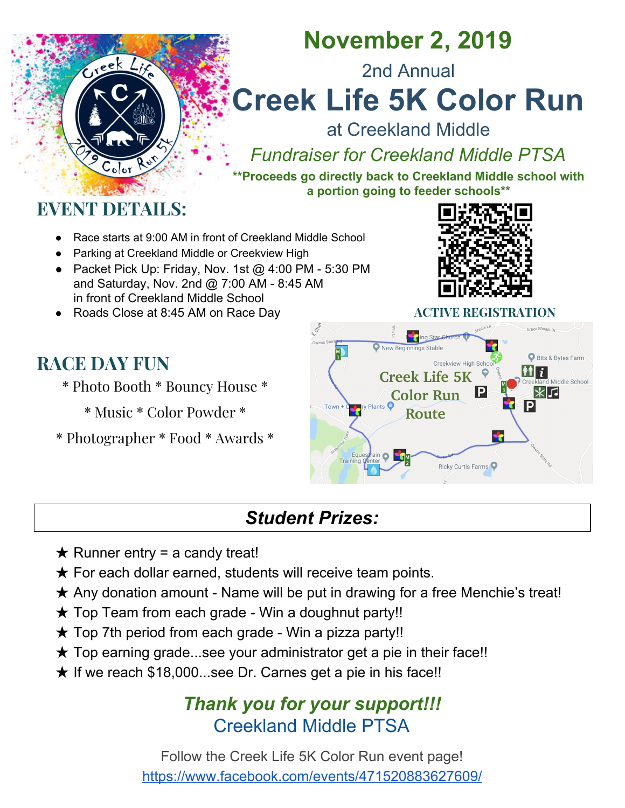

## **November 2, 2019**

2nd Annual

# **Creek Life 5K Color Run**

at Creekland Middle

*Fundraiser for Creekland Middle PTSA*

**\*\*Proceeds go directly back to Creekland Middle school with a portion going to feeder schools\*\***

### **EVENT DETAILS:**

- Race starts at 9:00 AM in front of Creekland Middle School
- Parking at Creekland Middle or Creekview High
- Packet Pick Up: Friday, Nov. 1st @ 4:00 PM 5:30 PM and Saturday, Nov. 2nd @ 7:00 AM - 8:45 AM in front of Creekland Middle School
- Roads Close at 8:45 AM on Race Day **ACTIVE REGISTRATION**

### **RACE DAY FUN**

- \* Photo Booth \* Bouncy House \*
	- \* Music \* Color Powder \*
- \* Photographer \* Food \* Awards \*





### *Student Prizes:*

- $\star$  Runner entry = a candy treat!
- $\star$  For each dollar earned, students will receive team points.
- **★ Any donation amount Name will be put in drawing for a free Menchie's treat!**
- $\star$  Top Team from each grade Win a doughnut party!!
- $\star$  Top 7th period from each grade Win a pizza party!!
- $\star$  Top earning grade...see your administrator get a pie in their face!!
- $\star$  If we reach \$18,000...see Dr. Carnes get a pie in his face!!

#### *Thank you for your support!!!* Creekland Middle PTSA

Follow the Creek Life 5K Color Run event page! <https://www.facebook.com/events/471520883627609/>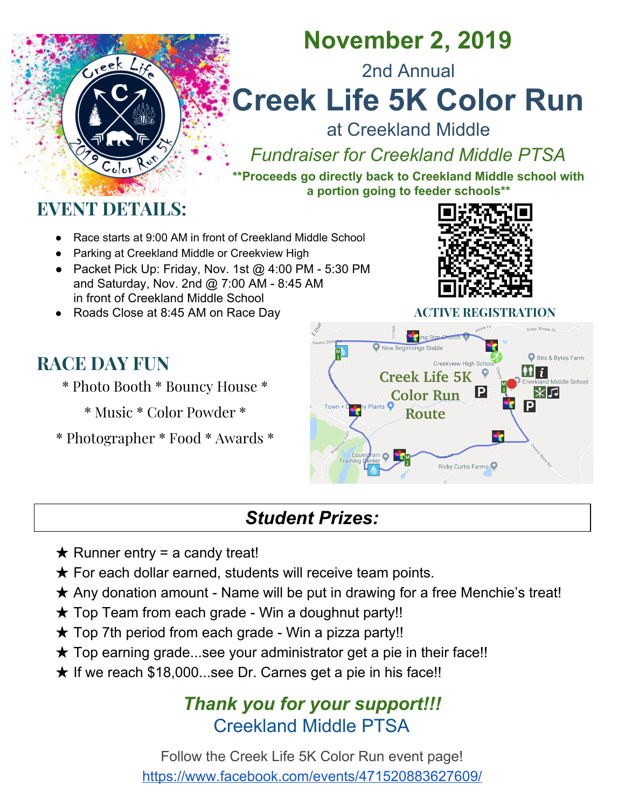### **November 2, 2019 - 9:00AM**

**Register today for the 2nd Annual Creek Life 5K Color Run at Creekland Middle!**

**Packet Pick Up – Friday, 11/1 @ 4:00 PM - 5:30 PM (front of school) Saturday, 11/2 @ 7:00 AM - 8:45 AM** *Roads Close at 8:45 AM on Race Day*

**Options: Color Runner/Walker (\$30 or \$35 after 10/19) - included t-shirt Ghost Runner/Donation (\$30) - optional t-shirt** (T-Shirt Sizes: YS, YM, YL**,** AS, AM, AL, AXL, A2XL)

Ĵ

**- Fundraiser for Creekland Middle PTSA -**

**Proceeds go directly back to Creekland MS with a portion going to the feeder schools.**

| $\Box$ Color Runner $\Box$ Ghost Runner                                                                               |                                                                                                |                                                                                                                                                                                                                                |                                       |  |
|-----------------------------------------------------------------------------------------------------------------------|------------------------------------------------------------------------------------------------|--------------------------------------------------------------------------------------------------------------------------------------------------------------------------------------------------------------------------------|---------------------------------------|--|
| Name:                                                                                                                 | Elem/Middle/High School:                                                                       |                                                                                                                                                                                                                                | CMS 7th Period Teacher:               |  |
| CMS Team: The CMS Team:                                                                                               | Email                                                                                          | Phone: The contract of the contract of the contract of the contract of the contract of the contract of the contract of the contract of the contract of the contract of the contract of the contract of the contract of the con | Gender: M / F                         |  |
|                                                                                                                       | Age on Race Day: ____ DOB: / / __/ ___ T-Shirt Size(circle): YS, YM, YL, AS, AM, AL, AXL, A2XL |                                                                                                                                                                                                                                | <b>No Shirt Wanted</b>                |  |
|                                                                                                                       | I have read the waiver provided and agree to all conditions.                                   |                                                                                                                                                                                                                                |                                       |  |
| $\langle N_{\alpha}(\alpha) \alpha\rangle\langle\alpha $ and $\langle N_{\alpha}(\alpha) \alpha\rangle\langle\alpha $ |                                                                                                |                                                                                                                                                                                                                                | ž MZ <i>©/4/4/4\4\4/4/4/4\4V4/4/4</i> |  |
|                                                                                                                       |                                                                                                |                                                                                                                                                                                                                                |                                       |  |

#### **\*\*\*Register additional runners on the back of the page\*\*\***

#### **Waiver -** *Each participant must read and sign in agreement to all conditions.*

In consideration of my registration for and participation in CMS's Color Run, or such other rescheduled date (the "Event"), I accept any and all risks of participation and agree to release, discharge, hold harmless and indemnify (and covenant and agree not to sue) Creekland Middle School or the Cherokee County School District, all Event sponsors, the venue, and all officers, directors, and members of said organizations, their respective employees, agents, licensees, designees and any other individuals who are in any way associated with this Event including volunteers (collectively, the "Released Parties"),on behalf of myself and my heirs from any and all liability, claims, demands, and/or actions, which are related to, arise out of, or in any way connected with my participation in this Event, whether caused by the negligence of the Released Parties or not. I acknowledge that I am in proper physical condition to be present at the Event and participate in any and all activities therein and that my participation in this Event is completely voluntary. I understand and acknowledge that the Event will be held on uneven terrain, over public roads and through facilities that may be open to the public during the Event. I knowingly and voluntarily accept and assume responsibility for any risks and dangers that could arise out of, or occur during, my presence at and participation in the Event and will comply with any and all on-site directions, guidelines and rules of conduct at the Event. I understand that if the Event is canceled because of circumstances beyond the control of the Event committee and sponsors, including but not limited to hazardous weather conditions or government ban, my entry fee will not be refunded.

I hereby grant the Released Parties permission to film me, take photographs, videotape and otherwise record me, along with my name, likeness, andimage (collectively, "Recordings"), all of which may be used, and to copyright and/or use and/or publish the Recordings in whole or in part, as well as any and all other materials that may include the Recordings, in conjunction with my own or fictitious name, in any media now or hereinafter existing, including without limitation any and all television, Internet and/or paid media, including third party websites and social networking sites, for any purpose whatever, throughout the world, in perpetuity, without further compensation or notification to me, except where prohibited by law.

#### *Parent name and signature required for participants under 18 years of age.*

|                                                 | Signature: <u>Contact Communications</u> Contact Contact Contact Contact Contact Contact Contact Contact Contact Contact Contact Contact Contact Contact Contact Contact Contact Contact Contact Contact Contact Contact Contact Co |  |
|-------------------------------------------------|-------------------------------------------------------------------------------------------------------------------------------------------------------------------------------------------------------------------------------------|--|
| Emergency Contact: Emergency Contact:           |                                                                                                                                                                                                                                     |  |
| Number of Runners: $x $30/$35 = $$              | <b>■ Additional Donation \$</b>                                                                                                                                                                                                     |  |
| Total Amount Included \$                        | (Cash Check )                                                                                                                                                                                                                       |  |
| <b>Make checks payable to Creekland MS PTSA</b> |                                                                                                                                                                                                                                     |  |
|                                                 | Follow Creek Life 5K Color Run event page! https://www.facebook.com/events/471520883627609/                                                                                                                                         |  |